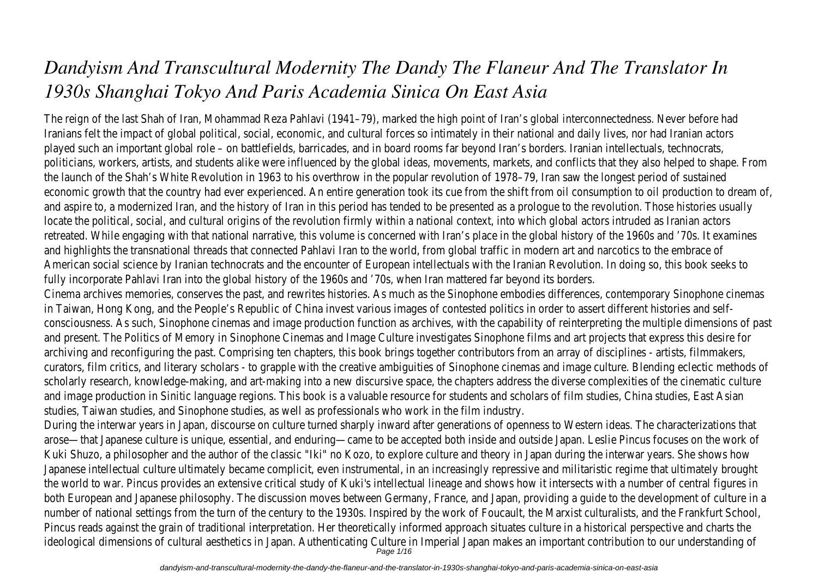# *Dandyism And Transcultural Modernity The Dandy The Flaneur And The Translator In 1930s Shanghai Tokyo And Paris Academia Sinica On East Asia*

The reign of the last Shah of Iran, Mohammad Reza Pahlavi (1941–79), marked the high point of Iran's global interconnectedness. Never before had Iranians felt the impact of global political, social, economic, and cultural forces so intimately in their national and daily lives, nor had Iranian actors played such an important global role – on battlefields, barricades, and in board rooms far beyond Iran's borders. Iranian intellectuals, technocrats, politicians, workers, artists, and students alike were influenced by the global ideas, movements, markets, and conflicts that they also helped to shape. From the launch of the Shah's White Revolution in 1963 to his overthrow in the popular revolution of 1978–79, Iran saw the longest period of sustained economic growth that the country had ever experienced. An entire generation took its cue from the shift from oil consumption to oil production to dream of, and aspire to, a modernized Iran, and the history of Iran in this period has tended to be presented as a prologue to the revolution. Those histories usually locate the political, social, and cultural origins of the revolution firmly within a national context, into which global actors intruded as Iranian actors retreated. While engaging with that national narrative, this volume is concerned with Iran's place in the global history of the 1960s and '70s. It examines and highlights the transnational threads that connected Pahlavi Iran to the world, from global traffic in modern art and narcotics to the embrace of American social science by Iranian technocrats and the encounter of European intellectuals with the Iranian Revolution. In doing so, this book seeks to fully incorporate Pahlavi Iran into the global history of the 1960s and '70s, when Iran mattered far beyond its borders. Cinema archives memories, conserves the past, and rewrites histories. As much as the Sinophone embodies differences, contemporary Sinophone cinemas in Taiwan, Hong Kong, and the People's Republic of China invest various images of contested politics in order to assert different histories and selfconsciousness. As such, Sinophone cinemas and image production function as archives, with the capability of reinterpreting the multiple dimensions of past and present. The Politics of Memory in Sinophone Cinemas and Image Culture investigates Sinophone films and art projects that express this desire for archiving and reconfiguring the past. Comprising ten chapters, this book brings together contributors from an array of disciplines - artists, filmmakers, curators, film critics, and literary scholars - to grapple with the creative ambiguities of Sinophone cinemas and image culture. Blending eclectic methods of scholarly research, knowledge-making, and art-making into a new discursive space, the chapters address the diverse complexities of the cinematic culture and image production in Sinitic language regions. This book is a valuable resource for students and scholars of film studies, China studies, East Asian studies, Taiwan studies, and Sinophone studies, as well as professionals who work in the film industry. During the interwar years in Japan, discourse on culture turned sharply inward after generations of openness to Western ideas. The characterizations that arose—that Japanese culture is unique, essential, and enduring—came to be accepted both inside and outside Japan. Leslie Pincus focuses on the work of Kuki Shuzo, a philosopher and the author of the classic "Iki" no Kozo, to explore culture and theory in Japan during the interwar years. She shows how Japanese intellectual culture ultimately became complicit, even instrumental, in an increasingly repressive and militaristic regime that ultimately brought the world to war. Pincus provides an extensive critical study of Kuki's intellectual lineage and shows how it intersects with a number of central figures in both European and Japanese philosophy. The discussion moves between Germany, France, and Japan, providing a guide to the development of culture in a number of national settings from the turn of the century to the 1930s. Inspired by the work of Foucault, the Marxist culturalists, and the Frankfurt School, Pincus reads against the grain of traditional interpretation. Her theoretically informed approach situates culture in a historical perspective and charts the

ideological dimensions of cultural aesthetics in Japan. Authenticating Culture in Imperial Japan makes an important contribution to our understanding of<br>Page 1/16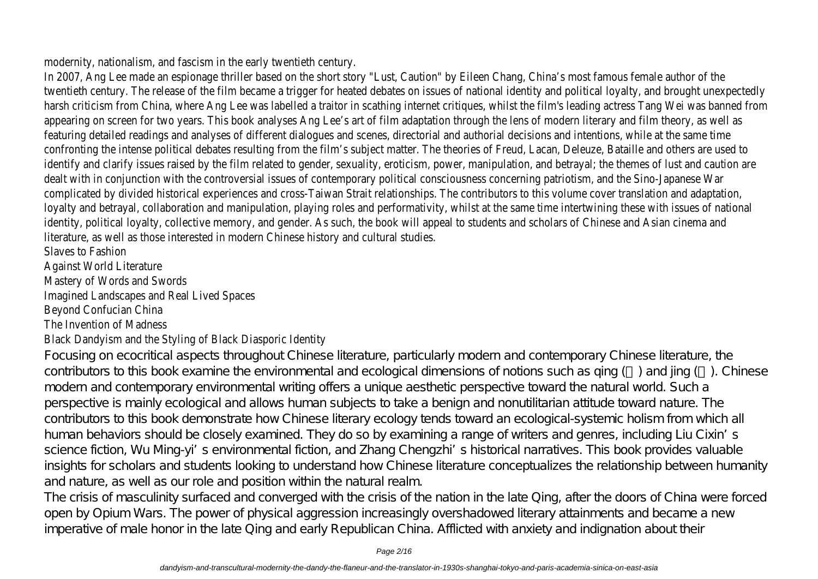modernity, nationalism, and fascism in the early twentieth century.

In 2007, Ang Lee made an espionage thriller based on the short story "Lust, Caution" by Eileen Chang, China's most famous female author of the twentieth century. The release of the film became a trigger for heated debates on issues of national identity and political loyalty, and brought unexpectedly harsh criticism from China, where Ang Lee was labelled a traitor in scathing internet critiques, whilst the film's leading actress Tang Wei was banned from appearing on screen for two years. This book analyses Ang Lee's art of film adaptation through the lens of modern literary and film theory, as well as featuring detailed readings and analyses of different dialogues and scenes, directorial and authorial decisions and intentions, while at the same time confronting the intense political debates resulting from the film's subject matter. The theories of Freud, Lacan, Deleuze, Bataille and others are used to identify and clarify issues raised by the film related to gender, sexuality, eroticism, power, manipulation, and betrayal; the themes of lust and caution are dealt with in conjunction with the controversial issues of contemporary political consciousness concerning patriotism, and the Sino-Japanese War complicated by divided historical experiences and cross-Taiwan Strait relationships. The contributors to this volume cover translation and adaptation, loyalty and betrayal, collaboration and manipulation, playing roles and performativity, whilst at the same time intertwining these with issues of national identity, political loyalty, collective memory, and gender. As such, the book will appeal to students and scholars of Chinese and Asian cinema and literature, as well as those interested in modern Chinese history and cultural studies.

Slaves to Fashion

Against World Literature

Mastery of Words and Swords

Imagined Landscapes and Real Lived Spaces

Beyond Confucian China

The Invention of Madness

### Black Dandyism and the Styling of Black Diasporic Identity

Focusing on ecocritical aspects throughout Chinese literature, particularly modern and contemporary Chinese literature, the contributors to this book examine the environmental and ecological dimensions of notions such as qing () and jing (). Chinese modern and contemporary environmental writing offers a unique aesthetic perspective toward the natural world. Such a perspective is mainly ecological and allows human subjects to take a benign and nonutilitarian attitude toward nature. The contributors to this book demonstrate how Chinese literary ecology tends toward an ecological-systemic holism from which all human behaviors should be closely examined. They do so by examining a range of writers and genres, including Liu Cixin's science fiction, Wu Ming-yi's environmental fiction, and Zhang Chengzhi's historical narratives. This book provides valuable insights for scholars and students looking to understand how Chinese literature conceptualizes the relationship between humanity and nature, as well as our role and position within the natural realm.

The crisis of masculinity surfaced and converged with the crisis of the nation in the late Qing, after the doors of China were forced open by Opium Wars. The power of physical aggression increasingly overshadowed literary attainments and became a new imperative of male honor in the late Qing and early Republican China. Afflicted with anxiety and indignation about their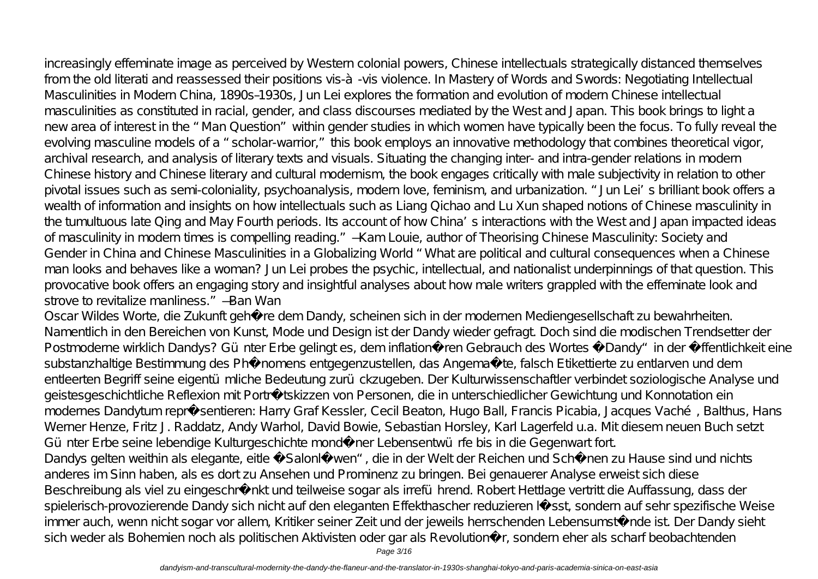increasingly effeminate image as perceived by Western colonial powers, Chinese intellectuals strategically distanced themselves from the old literati and reassessed their positions vis-à-vis violence. In Mastery of Words and Swords: Negotiating Intellectual Masculinities in Modern China, 1890s–1930s, Jun Lei explores the formation and evolution of modern Chinese intellectual masculinities as constituted in racial, gender, and class discourses mediated by the West and Japan. This book brings to light a new area of interest in the "Man Question" within gender studies in which women have typically been the focus. To fully reveal the evolving masculine models of a "scholar-warrior," this book employs an innovative methodology that combines theoretical vigor, archival research, and analysis of literary texts and visuals. Situating the changing inter- and intra-gender relations in modern Chinese history and Chinese literary and cultural modernism, the book engages critically with male subjectivity in relation to other pivotal issues such as semi-coloniality, psychoanalysis, modern love, feminism, and urbanization. "Jun Lei's brilliant book offers a wealth of information and insights on how intellectuals such as Liang Qichao and Lu Xun shaped notions of Chinese masculinity in the tumultuous late Qing and May Fourth periods. Its account of how China's interactions with the West and Japan impacted ideas of masculinity in modern times is compelling reading." —Kam Louie, author of Theorising Chinese Masculinity: Society and Gender in China and Chinese Masculinities in a Globalizing World "What are political and cultural consequences when a Chinese man looks and behaves like a woman? Jun Lei probes the psychic, intellectual, and nationalist underpinnings of that question. This provocative book offers an engaging story and insightful analyses about how male writers grappled with the effeminate look and strove to revitalize manliness." —Ban Wan

Oscar Wildes Worte, die Zukunft gehöre dem Dandy, scheinen sich in der modernen Mediengesellschaft zu bewahrheiten. Namentlich in den Bereichen von Kunst, Mode und Design ist der Dandy wieder gefragt. Doch sind die modischen Trendsetter der Postmoderne wirklich Dandys? Günter Erbe gelingt es, dem inflationären Gebrauch des Wortes, Dandy" in der Öffentlichkeit eine substanzhaltige Bestimmung des Phänomens entgegenzustellen, das Angemaßte, falsch Etikettierte zu entlarven und dem entleerten Begriff seine eigentümliche Bedeutung zurückzugeben. Der Kulturwissenschaftler verbindet soziologische Analyse und geistesgeschichtliche Reflexion mit Porträtskizzen von Personen, die in unterschiedlicher Gewichtung und Konnotation ein modernes Dandytum repräsentieren: Harry Graf Kessler, Cecil Beaton, Hugo Ball, Francis Picabia, Jacques Vaché, Balthus, Hans Werner Henze, Fritz J. Raddatz, Andy Warhol, David Bowie, Sebastian Horsley, Karl Lagerfeld u.a. Mit diesem neuen Buch setzt Günter Erbe seine lebendige Kulturgeschichte mondäner Lebensentwürfe bis in die Gegenwart fort. Dandys gelten weithin als elegante, eitle, Salonlöwen", die in der Welt der Reichen und Schönen zu Hause sind und nichts anderes im Sinn haben, als es dort zu Ansehen und Prominenz zu bringen. Bei genauerer Analyse erweist sich diese Beschreibung als viel zu eingeschränkt und teilweise sogar als irreführend. Robert Hettlage vertritt die Auffassung, dass der spielerisch-provozierende Dandy sich nicht auf den eleganten Effekthascher reduzieren lässt, sondern auf sehr spezifische Weise

immer auch, wenn nicht sogar vor allem, Kritiker seiner Zeit und der jeweils herrschenden Lebensumstände ist. Der Dandy sieht sich weder als Bohemien noch als politischen Aktivisten oder gar als Revolutionär, sondern eher als scharf beobachtenden

Page 3/16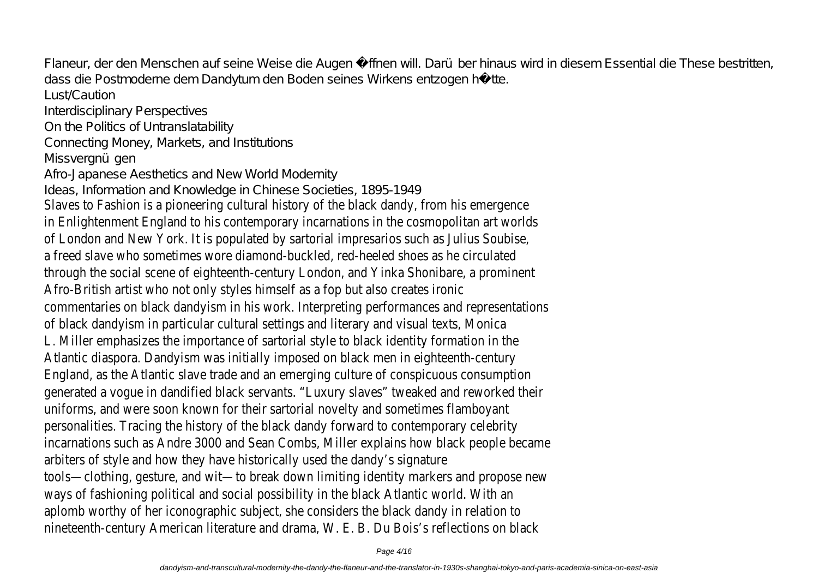Flaneur, der den Menschen auf seine Weise die Augen öffnen will. Darüber hinaus wird in diesem Essential die These bestritten, dass die Postmoderne dem Dandytum den Boden seines Wirkens entzogen hätte.

Lust/Caution Interdisciplinary Perspectives On the Politics of Untranslatability Connecting Money, Markets, and Institutions Missveranü gen Afro-Japanese Aesthetics and New World Modernity Ideas, Information and Knowledge in Chinese Societies, 1895-1949 Slaves to Fashion is a pioneering cultural history of the black dandy, from his emergence in Enlightenment England to his contemporary incarnations in the cosmopolitan art worlds of London and New York. It is populated by sartorial impresarios such as Julius Soubise, a freed slave who sometimes wore diamond-buckled, red-heeled shoes as he circulated through the social scene of eighteenth-century London, and Yinka Shonibare, a prominent Afro-British artist who not only styles himself as a fop but also creates ironic commentaries on black dandyism in his work. Interpreting performances and representations of black dandyism in particular cultural settings and literary and visual texts, Monica L. Miller emphasizes the importance of sartorial style to black identity formation in the Atlantic diaspora. Dandyism was initially imposed on black men in eighteenth-century England, as the Atlantic slave trade and an emerging culture of conspicuous consumption generated a vogue in dandified black servants. "Luxury slaves" tweaked and reworked their uniforms, and were soon known for their sartorial novelty and sometimes flamboyant personalities. Tracing the history of the black dandy forward to contemporary celebrity incarnations such as Andre 3000 and Sean Combs, Miller explains how black people became arbiters of style and how they have historically used the dandy's signature tools—clothing, gesture, and wit—to break down limiting identity markers and propose new ways of fashioning political and social possibility in the black Atlantic world. With an aplomb worthy of her iconographic subject, she considers the black dandy in relation to nineteenth-century American literature and drama, W. E. B. Du Bois's reflections on black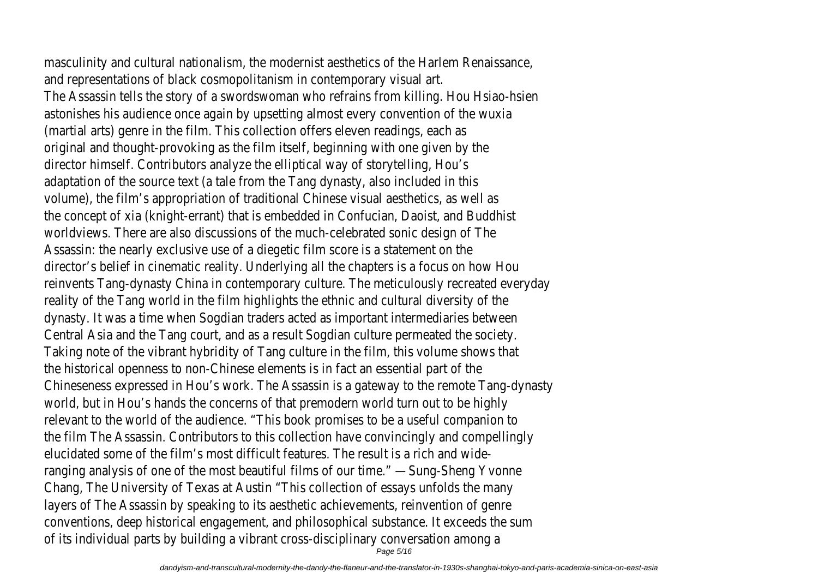masculinity and cultural nationalism, the modernist aesthetics of the Harlem Renaissance, and representations of black cosmopolitanism in contemporary visual art. The Assassin tells the story of a swordswoman who refrains from killing. Hou Hsiao-hsien astonishes his audience once again by upsetting almost every convention of the wuxia (martial arts) genre in the film. This collection offers eleven readings, each as original and thought-provoking as the film itself, beginning with one given by the director himself. Contributors analyze the elliptical way of storytelling, Hou's adaptation of the source text (a tale from the Tang dynasty, also included in this volume), the film's appropriation of traditional Chinese visual aesthetics, as well as the concept of xia (knight-errant) that is embedded in Confucian, Daoist, and Buddhist worldviews. There are also discussions of the much-celebrated sonic design of The Assassin: the nearly exclusive use of a diegetic film score is a statement on the director's belief in cinematic reality. Underlying all the chapters is a focus on how Hou reinvents Tang-dynasty China in contemporary culture. The meticulously recreated everyday reality of the Tang world in the film highlights the ethnic and cultural diversity of the dynasty. It was a time when Sogdian traders acted as important intermediaries between Central Asia and the Tang court, and as a result Sogdian culture permeated the society. Taking note of the vibrant hybridity of Tang culture in the film, this volume shows that the historical openness to non-Chinese elements is in fact an essential part of the Chineseness expressed in Hou's work. The Assassin is a gateway to the remote Tang-dynasty world, but in Hou's hands the concerns of that premodern world turn out to be highly relevant to the world of the audience. "This book promises to be a useful companion to the film The Assassin. Contributors to this collection have convincingly and compellingly elucidated some of the film's most difficult features. The result is a rich and wideranging analysis of one of the most beautiful films of our time." —Sung-Sheng Yvonne Chang, The University of Texas at Austin "This collection of essays unfolds the many layers of The Assassin by speaking to its aesthetic achievements, reinvention of genre conventions, deep historical engagement, and philosophical substance. It exceeds the sum of its individual parts by building a vibrant cross-disciplinary conversation among a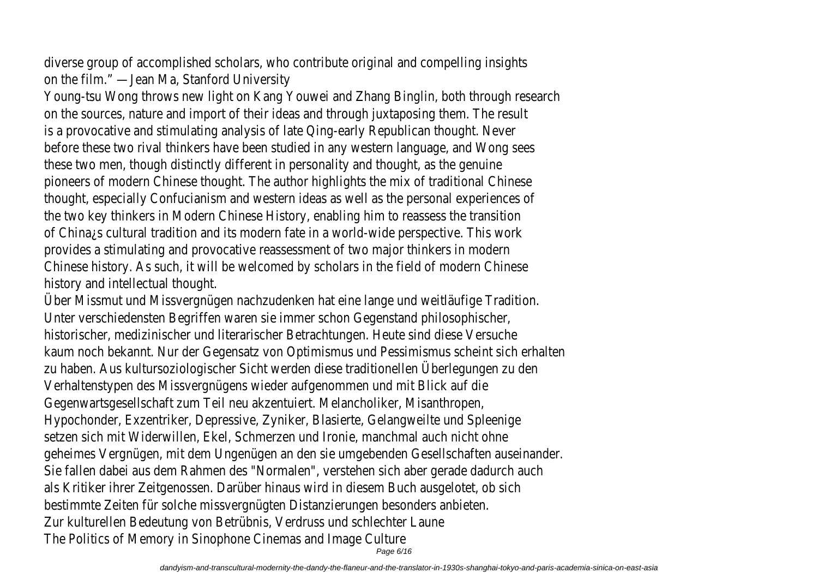diverse group of accomplished scholars, who contribute original and compelling insights on the film." —Jean Ma, Stanford University

Young-tsu Wong throws new light on Kang Youwei and Zhang Binglin, both through research on the sources, nature and import of their ideas and through juxtaposing them. The result is a provocative and stimulating analysis of late Qing-early Republican thought. Never before these two rival thinkers have been studied in any western language, and Wong sees these two men, though distinctly different in personality and thought, as the genuine pioneers of modern Chinese thought. The author highlights the mix of traditional Chinese thought, especially Confucianism and western ideas as well as the personal experiences of the two key thinkers in Modern Chinese History, enabling him to reassess the transition of China¿s cultural tradition and its modern fate in a world-wide perspective. This work provides a stimulating and provocative reassessment of two major thinkers in modern Chinese history. As such, it will be welcomed by scholars in the field of modern Chinese history and intellectual thought.

Über Missmut und Missvergnügen nachzudenken hat eine lange und weitläufige Tradition. Unter verschiedensten Begriffen waren sie immer schon Gegenstand philosophischer, historischer, medizinischer und literarischer Betrachtungen. Heute sind diese Versuche kaum noch bekannt. Nur der Gegensatz von Optimismus und Pessimismus scheint sich erhalten zu haben. Aus kultursoziologischer Sicht werden diese traditionellen Überlegungen zu den Verhaltenstypen des Missvergnügens wieder aufgenommen und mit Blick auf die Gegenwartsgesellschaft zum Teil neu akzentuiert. Melancholiker, Misanthropen, Hypochonder, Exzentriker, Depressive, Zyniker, Blasierte, Gelangweilte und Spleenige setzen sich mit Widerwillen, Ekel, Schmerzen und Ironie, manchmal auch nicht ohne geheimes Vergnügen, mit dem Ungenügen an den sie umgebenden Gesellschaften auseinander. Sie fallen dabei aus dem Rahmen des "Normalen", verstehen sich aber gerade dadurch auch als Kritiker ihrer Zeitgenossen. Darüber hinaus wird in diesem Buch ausgelotet, ob sich bestimmte Zeiten für solche missvergnügten Distanzierungen besonders anbieten. Zur kulturellen Bedeutung von Betrübnis, Verdruss und schlechter Laune The Politics of Memory in Sinophone Cinemas and Image Culture Page 6/16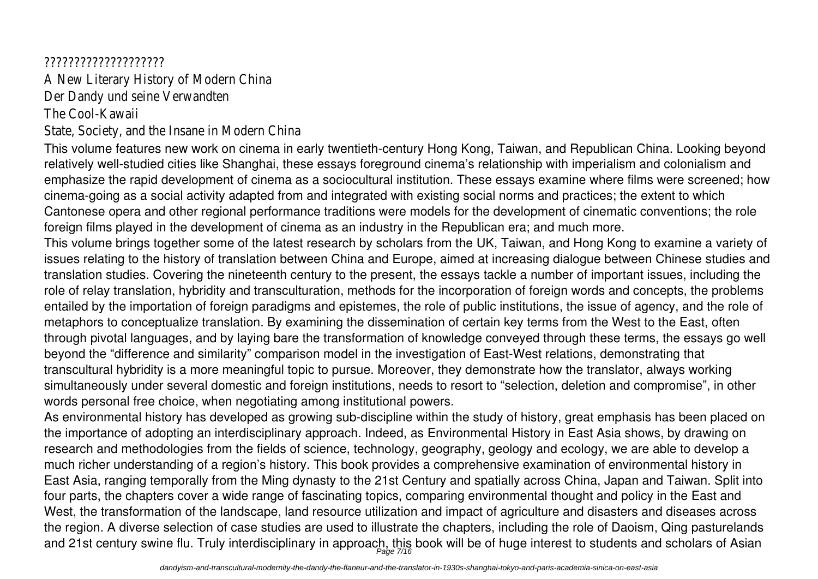### ????????????????????

A New Literary History of Modern China Der Dandy und seine Verwandten The Cool-Kawaii

State, Society, and the Insane in Modern China

This volume features new work on cinema in early twentieth-century Hong Kong, Taiwan, and Republican China. Looking beyond relatively well-studied cities like Shanghai, these essays foreground cinema's relationship with imperialism and colonialism and emphasize the rapid development of cinema as a sociocultural institution. These essays examine where films were screened; how cinema-going as a social activity adapted from and integrated with existing social norms and practices; the extent to which Cantonese opera and other regional performance traditions were models for the development of cinematic conventions; the role foreign films played in the development of cinema as an industry in the Republican era; and much more.

This volume brings together some of the latest research by scholars from the UK, Taiwan, and Hong Kong to examine a variety of issues relating to the history of translation between China and Europe, aimed at increasing dialogue between Chinese studies and translation studies. Covering the nineteenth century to the present, the essays tackle a number of important issues, including the role of relay translation, hybridity and transculturation, methods for the incorporation of foreign words and concepts, the problems entailed by the importation of foreign paradigms and epistemes, the role of public institutions, the issue of agency, and the role of metaphors to conceptualize translation. By examining the dissemination of certain key terms from the West to the East, often through pivotal languages, and by laying bare the transformation of knowledge conveyed through these terms, the essays go well beyond the "difference and similarity" comparison model in the investigation of East-West relations, demonstrating that transcultural hybridity is a more meaningful topic to pursue. Moreover, they demonstrate how the translator, always working simultaneously under several domestic and foreign institutions, needs to resort to "selection, deletion and compromise", in other words personal free choice, when negotiating among institutional powers.

As environmental history has developed as growing sub-discipline within the study of history, great emphasis has been placed on the importance of adopting an interdisciplinary approach. Indeed, as Environmental History in East Asia shows, by drawing on research and methodologies from the fields of science, technology, geography, geology and ecology, we are able to develop a much richer understanding of a region's history. This book provides a comprehensive examination of environmental history in East Asia, ranging temporally from the Ming dynasty to the 21st Century and spatially across China, Japan and Taiwan. Split into four parts, the chapters cover a wide range of fascinating topics, comparing environmental thought and policy in the East and West, the transformation of the landscape, land resource utilization and impact of agriculture and disasters and diseases across the region. A diverse selection of case studies are used to illustrate the chapters, including the role of Daoism, Qing pasturelands and 21st century swine flu. Truly interdisciplinary in approach, this book will be of huge interest to students and scholars of Asian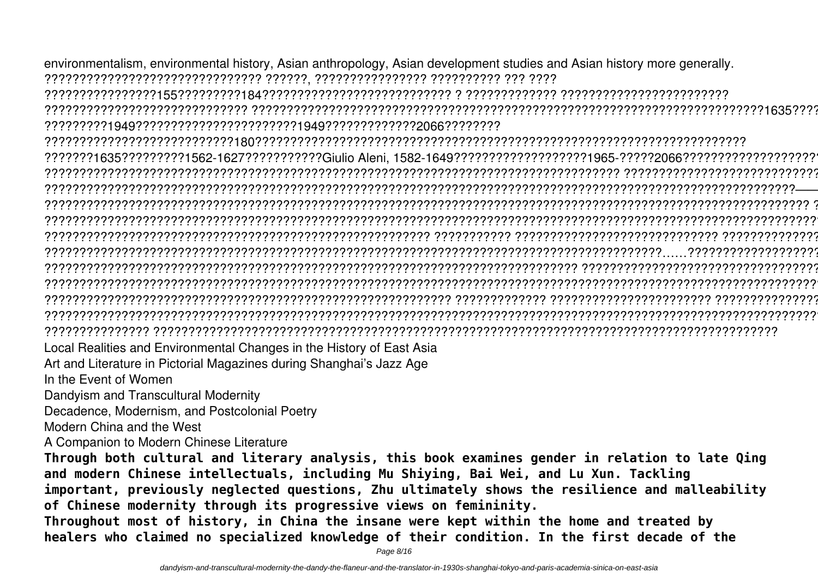environmentalism, environmental history, Asian anthropology, Asian development studies and Asian history more generally. ??????????????????????????????? ??????, ???????????????? ?????????? ??? ????

????????????????155?????????184??????????????????????????? ? ????????????? ????????????????????????

????????????????????????????? ?????????????????????????????????????????????????????????????????????????1635???????? ?????????1949???????????????????????1949?????????????2066????????

???????????????????????????180??????????????????????????????????????????????????????????????????????

???????1635?????????1562-1627???????????Giulio Aleni, 1582-1649???????????????????1965-?????2066???????????????????? ?????????????????????????????????????????????????????????????????????????????????? ????????????????????????????????? ???????????????????????????????????????????????????????????????????????????????????????????????????????????——???——? ????????????????????????????????????????????????????????????????????????????????????????????????????????????? ?????? ??????????????????????????????????????????????????????????????????????????????????????????????????????????????????? ??????????????????????????????????????????????????????? ??????????? ????????????????????????????? ?????????????????? ????????????????????????????????????????????????????????????????????????????????????????……????????????????????????? ???????????????????????????????????????????????????????????????????????????? ??????????????????????????????????????? ??????????????????????????????????????????????????????????????????????????????????????????????????????????????????? ?????????????????????????????????????????????????????????? ????????????? ??????????????????????? ??????????????????? ??????????????????????????????????????????????????????????????????????????????????????????????????????????????????? ??????????????? ?????????????????????????????????????????????????????????????????????????????????????????

Local Realities and Environmental Changes in the History of East Asia

Art and Literature in Pictorial Magazines during Shanghai's Jazz Age

In the Event of Women

Dandyism and Transcultural Modernity

Decadence, Modernism, and Postcolonial Poetry

Modern China and the West

A Companion to Modern Chinese Literature

**Through both cultural and literary analysis, this book examines gender in relation to late Qing and modern Chinese intellectuals, including Mu Shiying, Bai Wei, and Lu Xun. Tackling important, previously neglected questions, Zhu ultimately shows the resilience and malleability of Chinese modernity through its progressive views on femininity.**

**Throughout most of history, in China the insane were kept within the home and treated by healers who claimed no specialized knowledge of their condition. In the first decade of the**

Page 8/16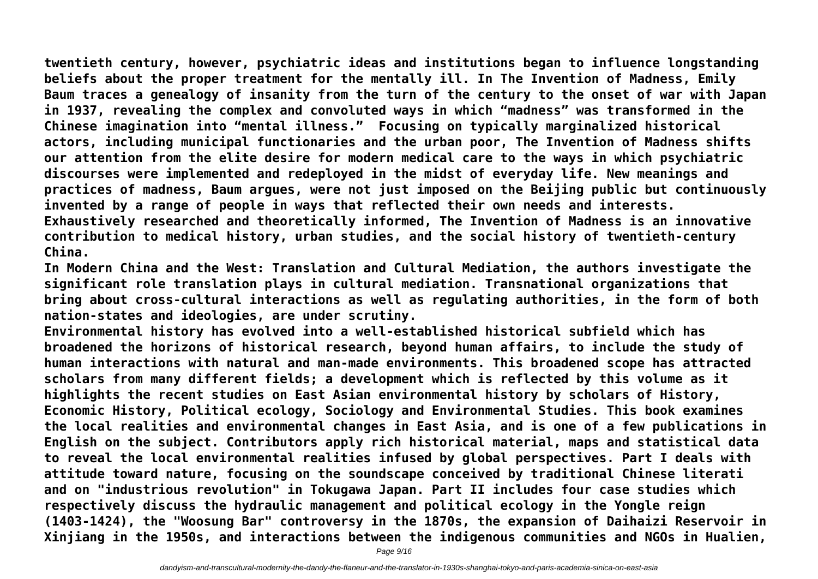**twentieth century, however, psychiatric ideas and institutions began to influence longstanding beliefs about the proper treatment for the mentally ill. In The Invention of Madness, Emily Baum traces a genealogy of insanity from the turn of the century to the onset of war with Japan in 1937, revealing the complex and convoluted ways in which "madness" was transformed in the Chinese imagination into "mental illness." Focusing on typically marginalized historical actors, including municipal functionaries and the urban poor, The Invention of Madness shifts our attention from the elite desire for modern medical care to the ways in which psychiatric discourses were implemented and redeployed in the midst of everyday life. New meanings and**

**practices of madness, Baum argues, were not just imposed on the Beijing public but continuously invented by a range of people in ways that reflected their own needs and interests. Exhaustively researched and theoretically informed, The Invention of Madness is an innovative contribution to medical history, urban studies, and the social history of twentieth-century China.**

**In Modern China and the West: Translation and Cultural Mediation, the authors investigate the significant role translation plays in cultural mediation. Transnational organizations that bring about cross-cultural interactions as well as regulating authorities, in the form of both nation-states and ideologies, are under scrutiny.**

**Environmental history has evolved into a well-established historical subfield which has broadened the horizons of historical research, beyond human affairs, to include the study of human interactions with natural and man-made environments. This broadened scope has attracted scholars from many different fields; a development which is reflected by this volume as it highlights the recent studies on East Asian environmental history by scholars of History, Economic History, Political ecology, Sociology and Environmental Studies. This book examines the local realities and environmental changes in East Asia, and is one of a few publications in English on the subject. Contributors apply rich historical material, maps and statistical data to reveal the local environmental realities infused by global perspectives. Part I deals with attitude toward nature, focusing on the soundscape conceived by traditional Chinese literati and on "industrious revolution" in Tokugawa Japan. Part II includes four case studies which respectively discuss the hydraulic management and political ecology in the Yongle reign (1403-1424), the "Woosung Bar" controversy in the 1870s, the expansion of Daihaizi Reservoir in Xinjiang in the 1950s, and interactions between the indigenous communities and NGOs in Hualien,**

Page 9/16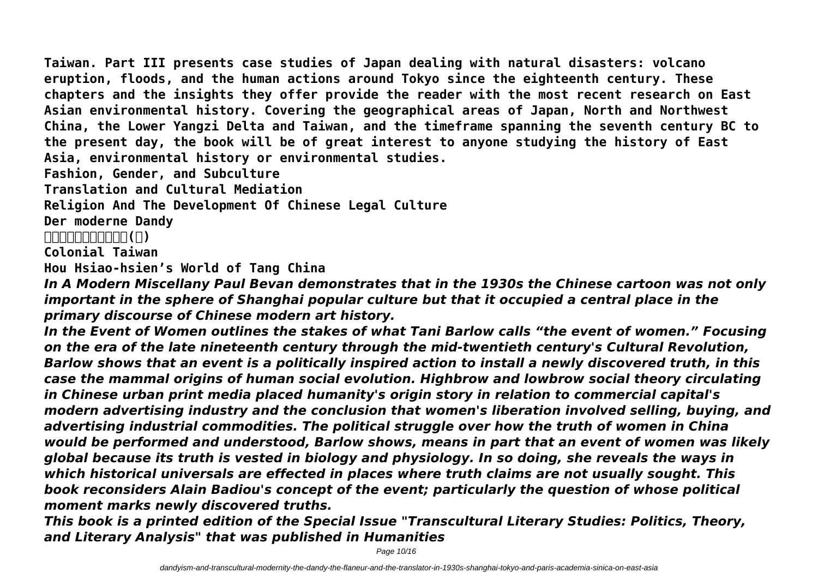**Taiwan. Part III presents case studies of Japan dealing with natural disasters: volcano eruption, floods, and the human actions around Tokyo since the eighteenth century. These chapters and the insights they offer provide the reader with the most recent research on East Asian environmental history. Covering the geographical areas of Japan, North and Northwest China, the Lower Yangzi Delta and Taiwan, and the timeframe spanning the seventh century BC to the present day, the book will be of great interest to anyone studying the history of East Asia, environmental history or environmental studies.**

**Fashion, Gender, and Subculture**

**Translation and Cultural Mediation**

**Religion And The Development Of Chinese Legal Culture**

**Der moderne Dandy**

**哈佛新編中國現代文學史(上)**

**Colonial Taiwan**

**Hou Hsiao-hsien's World of Tang China**

*In A Modern Miscellany Paul Bevan demonstrates that in the 1930s the Chinese cartoon was not only important in the sphere of Shanghai popular culture but that it occupied a central place in the primary discourse of Chinese modern art history.*

*In the Event of Women outlines the stakes of what Tani Barlow calls "the event of women." Focusing on the era of the late nineteenth century through the mid-twentieth century's Cultural Revolution, Barlow shows that an event is a politically inspired action to install a newly discovered truth, in this case the mammal origins of human social evolution. Highbrow and lowbrow social theory circulating in Chinese urban print media placed humanity's origin story in relation to commercial capital's modern advertising industry and the conclusion that women's liberation involved selling, buying, and advertising industrial commodities. The political struggle over how the truth of women in China would be performed and understood, Barlow shows, means in part that an event of women was likely global because its truth is vested in biology and physiology. In so doing, she reveals the ways in which historical universals are effected in places where truth claims are not usually sought. This book reconsiders Alain Badiou's concept of the event; particularly the question of whose political moment marks newly discovered truths.*

*This book is a printed edition of the Special Issue "Transcultural Literary Studies: Politics, Theory, and Literary Analysis" that was published in Humanities*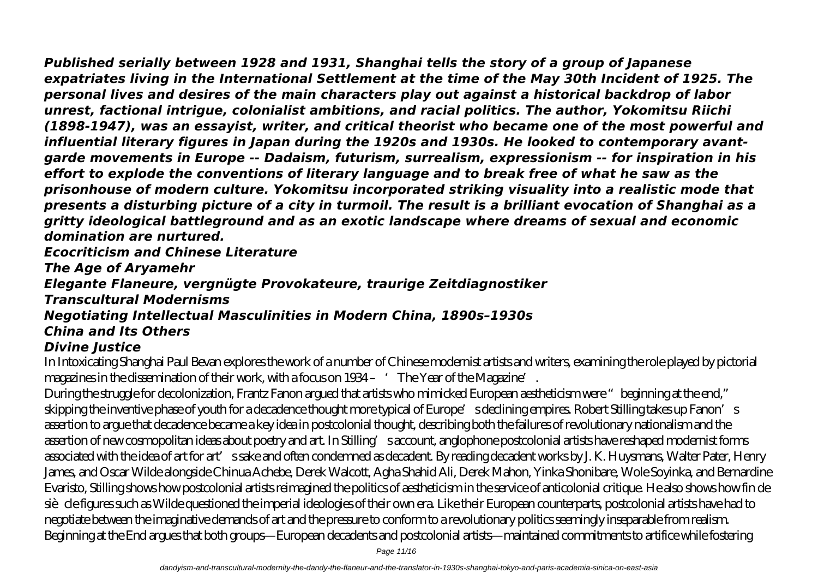*Published serially between 1928 and 1931, Shanghai tells the story of a group of Japanese expatriates living in the International Settlement at the time of the May 30th Incident of 1925. The personal lives and desires of the main characters play out against a historical backdrop of labor unrest, factional intrigue, colonialist ambitions, and racial politics. The author, Yokomitsu Riichi (1898-1947), was an essayist, writer, and critical theorist who became one of the most powerful and influential literary figures in Japan during the 1920s and 1930s. He looked to contemporary avantgarde movements in Europe -- Dadaism, futurism, surrealism, expressionism -- for inspiration in his effort to explode the conventions of literary language and to break free of what he saw as the prisonhouse of modern culture. Yokomitsu incorporated striking visuality into a realistic mode that presents a disturbing picture of a city in turmoil. The result is a brilliant evocation of Shanghai as a gritty ideological battleground and as an exotic landscape where dreams of sexual and economic domination are nurtured.*

*Ecocriticism and Chinese Literature*

*The Age of Aryamehr*

*Elegante Flaneure, vergnügte Provokateure, traurige Zeitdiagnostiker*

*Transcultural Modernisms*

*Negotiating Intellectual Masculinities in Modern China, 1890s–1930s China and Its Others*

## *Divine Justice*

In Intoxicating Shanghai Paul Bevan explores the work of a number of Chinese modernist artists and writers, examining the role played by pictorial magazines in the dissemination of their work, with a focus on 1934 – 'The Year of the Magazine'.

During the struggle for decolonization, Frantz Fanon argued that artists who mimicked European aestheticism were "beginning at the end," skipping the inventive phase of youth for a decadence thought more typical of Europe's declining empires. Robert Stilling takes up Fanon's assertion to argue that decadence became a key idea in postcolonial thought, describing both the failures of revolutionary nationalism and the assertion of new cosmopolitan ideas about poetry and art. In Stilling's account, anglophone postcolonial artists have reshaped modernist forms associated with the idea of art for art's sake and often condemned as decadent. By reading decadent works by J. K. Huysmans, Walter Pater, Henry James, and Oscar Wilde alongside Chinua Achebe, Derek Walcott, Agha Shahid Ali, Derek Mahon, Yinka Shonibare, Wole Soyinka, and Bernardine Evaristo, Stilling shows how postcolonial artists reimagined the politics of aestheticism in the service of anticolonial critique. He also shows how fin de siè cle figures such as Wilde questioned the imperial ideologies of their own era. Like their European counterparts, postcolonial artists have had to negotiate between the imaginative demands of art and the pressure to conform to a revolutionary politics seemingly inseparable from realism. Beginning at the End argues that both groups—European decadents and postcolonial artists—maintained commitments to artifice while fostering

Page 11/16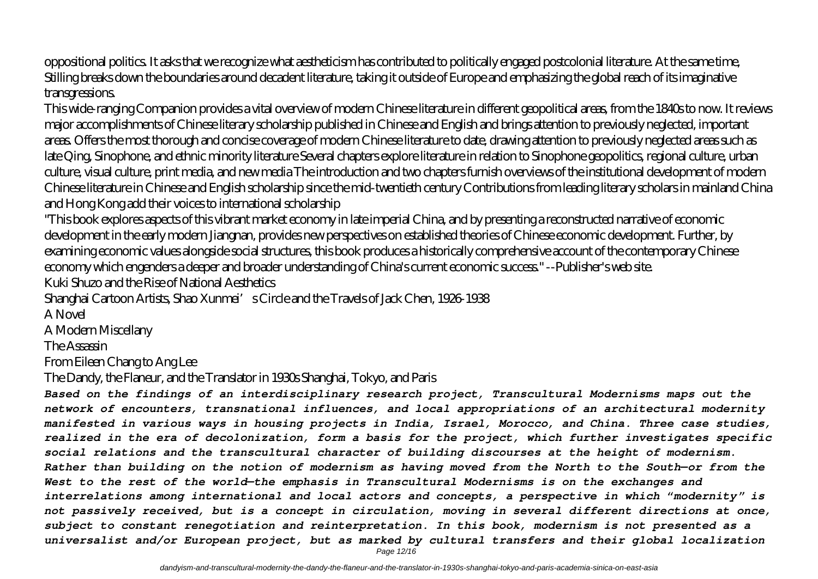oppositional politics. It asks that we recognize what aestheticism has contributed to politically engaged postcolonial literature. At the same time, Stilling breaks down the boundaries around decadent literature, taking it outside of Europe and emphasizing the global reach of its imaginative transgressions.

This wide-ranging Companion provides a vital overview of modern Chinese literature in different geopolitical areas, from the 1840s to now. It reviews major accomplishments of Chinese literary scholarship published in Chinese and English and brings attention to previously neglected, important areas. Offers the most thorough and concise coverage of modern Chinese literature to date, drawing attention to previously neglected areas such as late Qing, Sinophone, and ethnic minority literature Several chapters explore literature in relation to Sinophone geopolitics, regional culture, urban culture, visual culture, print media, and new media The introduction and two chapters furnish overviews of the institutional development of modern Chinese literature in Chinese and English scholarship since the mid-twentieth century Contributions from leading literary scholars in mainland China and Hong Kong add their voices to international scholarship

"This book explores aspects of this vibrant market economy in late imperial China, and by presenting a reconstructed narrative of economic development in the early modern Jiangnan, provides new perspectives on established theories of Chinese economic development. Further, by examining economic values alongside social structures, this book produces a historically comprehensive account of the contemporary Chinese economy which engenders a deeper and broader understanding of China's current economic success." --Publisher's web site. Kuki Shuzo and the Rise of National Aesthetics

Shanghai Cartoon Artists, Shao Xunmei's Circle and the Travels of Jack Chen, 1926-1938

A Novel

A Modern Miscellany

The Assassin

From Eileen Chang to Ang Lee

The Dandy, the Flaneur, and the Translator in 1930s Shanghai, Tokyo, and Paris

*Based on the findings of an interdisciplinary research project, Transcultural Modernisms maps out the network of encounters, transnational influences, and local appropriations of an architectural modernity manifested in various ways in housing projects in India, Israel, Morocco, and China. Three case studies, realized in the era of decolonization, form a basis for the project, which further investigates specific social relations and the transcultural character of building discourses at the height of modernism. Rather than building on the notion of modernism as having moved from the North to the South—or from the West to the rest of the world—the emphasis in Transcultural Modernisms is on the exchanges and interrelations among international and local actors and concepts, a perspective in which "modernity" is not passively received, but is a concept in circulation, moving in several different directions at once, subject to constant renegotiation and reinterpretation. In this book, modernism is not presented as a universalist and/or European project, but as marked by cultural transfers and their global localization*

Page 12/16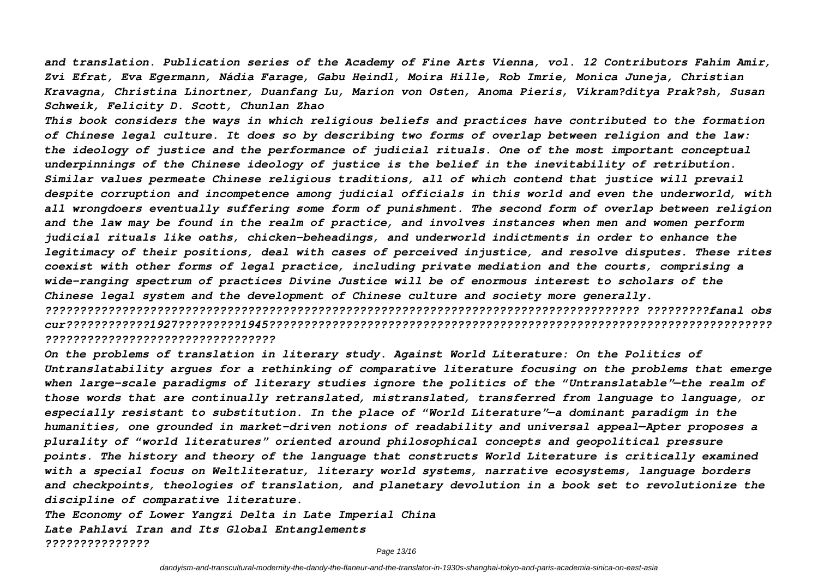*and translation. Publication series of the Academy of Fine Arts Vienna, vol. 12 Contributors Fahim Amir, Zvi Efrat, Eva Egermann, Nádia Farage, Gabu Heindl, Moira Hille, Rob Imrie, Monica Juneja, Christian Kravagna, Christina Linortner, Duanfang Lu, Marion von Osten, Anoma Pieris, Vikram?ditya Prak?sh, Susan Schweik, Felicity D. Scott, Chunlan Zhao*

*This book considers the ways in which religious beliefs and practices have contributed to the formation of Chinese legal culture. It does so by describing two forms of overlap between religion and the law: the ideology of justice and the performance of judicial rituals. One of the most important conceptual underpinnings of the Chinese ideology of justice is the belief in the inevitability of retribution. Similar values permeate Chinese religious traditions, all of which contend that justice will prevail despite corruption and incompetence among judicial officials in this world and even the underworld, with all wrongdoers eventually suffering some form of punishment. The second form of overlap between religion and the law may be found in the realm of practice, and involves instances when men and women perform judicial rituals like oaths, chicken-beheadings, and underworld indictments in order to enhance the legitimacy of their positions, deal with cases of perceived injustice, and resolve disputes. These rites coexist with other forms of legal practice, including private mediation and the courts, comprising a wide-ranging spectrum of practices Divine Justice will be of enormous interest to scholars of the Chinese legal system and the development of Chinese culture and society more generally. ????????????????????????????????????????????????????????????????????????????????????? ?????????fanal obs cur????????????1927?????????1945????????????????????????????????????????????????????????????????????????*

#### *?????????????????????????????????*

*On the problems of translation in literary study. Against World Literature: On the Politics of Untranslatability argues for a rethinking of comparative literature focusing on the problems that emerge when large-scale paradigms of literary studies ignore the politics of the "Untranslatable"—the realm of those words that are continually retranslated, mistranslated, transferred from language to language, or especially resistant to substitution. In the place of "World Literature"—a dominant paradigm in the humanities, one grounded in market-driven notions of readability and universal appeal—Apter proposes a plurality of "world literatures" oriented around philosophical concepts and geopolitical pressure points. The history and theory of the language that constructs World Literature is critically examined with a special focus on Weltliteratur, literary world systems, narrative ecosystems, language borders and checkpoints, theologies of translation, and planetary devolution in a book set to revolutionize the discipline of comparative literature.*

*The Economy of Lower Yangzi Delta in Late Imperial China Late Pahlavi Iran and Its Global Entanglements ???????????????*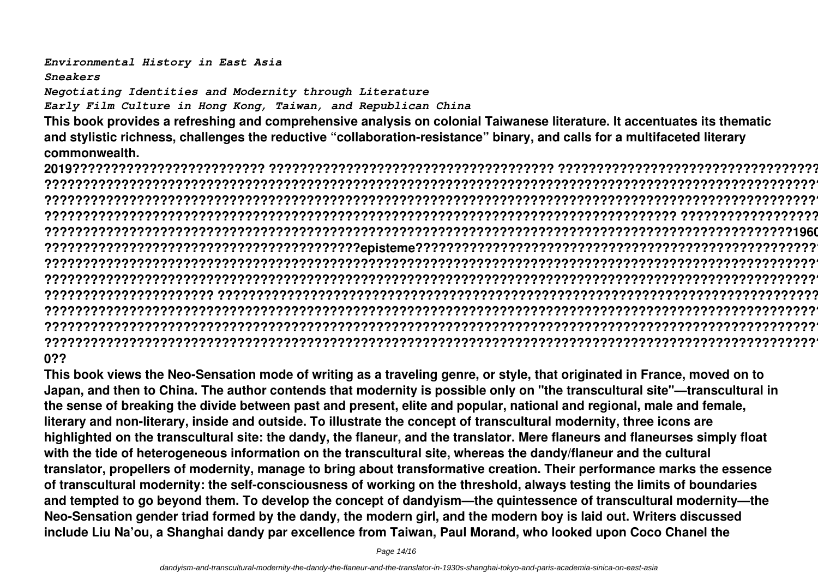*Environmental History in East Asia*

*Sneakers*

*Negotiating Identities and Modernity through Literature*

*Early Film Culture in Hong Kong, Taiwan, and Republican China*

**This book provides a refreshing and comprehensive analysis on colonial Taiwanese literature. It accentuates its thematic and stylistic richness, challenges the reductive "collaboration-resistance" binary, and calls for a multifaceted literary commonwealth.**

**2019????????????????????????? ????????????????????????????????????? ?????????????????????????????????????????????? ? ??????????????????????????????????????????????????????????????????????????????????????????????????????????????????? ??????????????????????????????????????????????????????????????????????????????????????????????????????????????????? ?????????????????????????????????????????????????????????????????????????????????? ????????????????????????????????? ?????????????????????????????????????????????????????????????????????????????????????????????????1960?????????????? ?????????????????????????????????????????episteme????????????????????????????????????????????????????????????????? ??????????????????????????????????????????????????????????????????????????????????????????????????????????? ???????? ??????????????????????????????????????????????????????????????????????????????????????????????????????????????????? ?????????????????????? ????????????????????????????????????????????????????????????????????????????????????????????? ??????????????????????????????????????????????????????????????????????????????????????????????????????????????????? ??????????????????????????????????????????????????????????????????????????????????????????????????????????????????? ???????????????????????????????????????????????????????????????????????????????????????????????????????????1945-196 0??**

**This book views the Neo-Sensation mode of writing as a traveling genre, or style, that originated in France, moved on to Japan, and then to China. The author contends that modernity is possible only on "the transcultural site"—transcultural in the sense of breaking the divide between past and present, elite and popular, national and regional, male and female, literary and non-literary, inside and outside. To illustrate the concept of transcultural modernity, three icons are highlighted on the transcultural site: the dandy, the flaneur, and the translator. Mere flaneurs and flaneurses simply float with the tide of heterogeneous information on the transcultural site, whereas the dandy/flaneur and the cultural translator, propellers of modernity, manage to bring about transformative creation. Their performance marks the essence of transcultural modernity: the self-consciousness of working on the threshold, always testing the limits of boundaries and tempted to go beyond them. To develop the concept of dandyism—the quintessence of transcultural modernity—the Neo-Sensation gender triad formed by the dandy, the modern girl, and the modern boy is laid out. Writers discussed include Liu Na'ou, a Shanghai dandy par excellence from Taiwan, Paul Morand, who looked upon Coco Chanel the**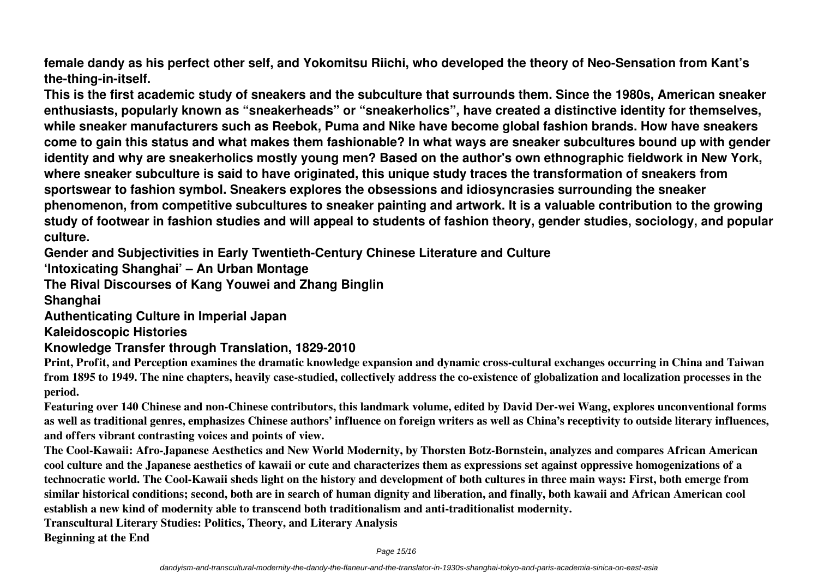**female dandy as his perfect other self, and Yokomitsu Riichi, who developed the theory of Neo-Sensation from Kant's the-thing-in-itself.**

**This is the first academic study of sneakers and the subculture that surrounds them. Since the 1980s, American sneaker enthusiasts, popularly known as "sneakerheads" or "sneakerholics", have created a distinctive identity for themselves, while sneaker manufacturers such as Reebok, Puma and Nike have become global fashion brands. How have sneakers come to gain this status and what makes them fashionable? In what ways are sneaker subcultures bound up with gender identity and why are sneakerholics mostly young men? Based on the author's own ethnographic fieldwork in New York, where sneaker subculture is said to have originated, this unique study traces the transformation of sneakers from sportswear to fashion symbol. Sneakers explores the obsessions and idiosyncrasies surrounding the sneaker phenomenon, from competitive subcultures to sneaker painting and artwork. It is a valuable contribution to the growing study of footwear in fashion studies and will appeal to students of fashion theory, gender studies, sociology, and popular culture.**

**Gender and Subjectivities in Early Twentieth-Century Chinese Literature and Culture**

**'Intoxicating Shanghai' – An Urban Montage**

**The Rival Discourses of Kang Youwei and Zhang Binglin**

**Shanghai**

**Authenticating Culture in Imperial Japan**

**Kaleidoscopic Histories**

#### **Knowledge Transfer through Translation, 1829-2010**

**Print, Profit, and Perception examines the dramatic knowledge expansion and dynamic cross-cultural exchanges occurring in China and Taiwan from 1895 to 1949. The nine chapters, heavily case-studied, collectively address the co-existence of globalization and localization processes in the period.**

**Featuring over 140 Chinese and non-Chinese contributors, this landmark volume, edited by David Der-wei Wang, explores unconventional forms as well as traditional genres, emphasizes Chinese authors' influence on foreign writers as well as China's receptivity to outside literary influences, and offers vibrant contrasting voices and points of view.**

**The Cool-Kawaii: Afro-Japanese Aesthetics and New World Modernity, by Thorsten Botz-Bornstein, analyzes and compares African American cool culture and the Japanese aesthetics of kawaii or cute and characterizes them as expressions set against oppressive homogenizations of a technocratic world. The Cool-Kawaii sheds light on the history and development of both cultures in three main ways: First, both emerge from similar historical conditions; second, both are in search of human dignity and liberation, and finally, both kawaii and African American cool establish a new kind of modernity able to transcend both traditionalism and anti-traditionalist modernity.**

**Transcultural Literary Studies: Politics, Theory, and Literary Analysis**

**Beginning at the End**